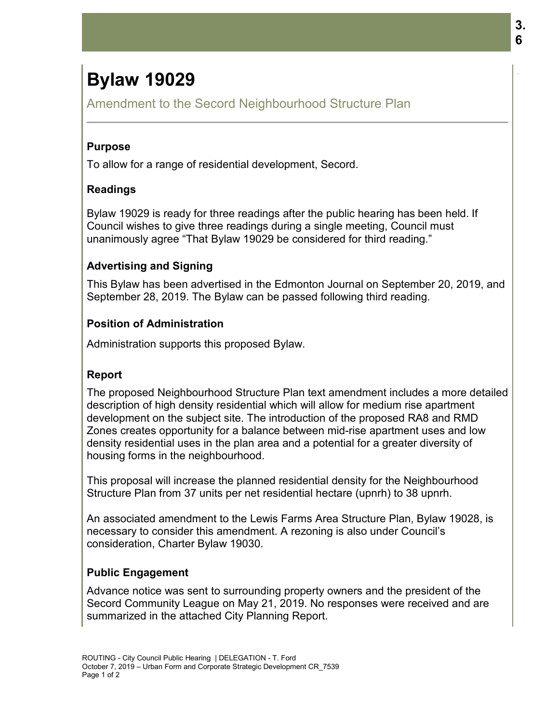# **Bylaw 19029**

Amendment to the Secord Neighbourhood Structure Plan

#### **Purpose**

To allow for a range of residential development, Secord.

## **Readings**

Bylaw 19029 is ready for three readings after the public hearing has been held. If Council wishes to give three readings during a single meeting, Council must unanimously agree "That Bylaw 19029 be considered for third reading." 19029

## **Advertising and Signing and**

This Bylaw has been advertised in the Edmonton Journal on September 20, 2019, and September 28, 2019. The Bylaw can be passed following third reading.

#### **Position of Administration**

Administration supports this proposed Bylaw. Administration supports Bylaw.

#### **Report**

The proposed Neighbourhood Structure Plan text amendment includes a more detailed description of high density residential which will allow for medium rise apartment development on the subject site. The introduction of the proposed RA8 and RMD description of high density residential which will allow for medium rise apartment<br>development on the subject site. The introduction of the proposed RA8 and RMD<br>Zones creates opportunity for a balance between mid-rise apar density residential uses in the plan area and a potential for a greater diversity of housing forms in the neighbourhood. density residential uses in the plan area and a potential for a greater diversity of<br>housing forms in the neighbourhood.<br>This proposal will increase the planned residential density for the Neighbourhood Amendment to the Secord Neighbourhood Structure Plan<br> **Purpose**<br>
To allow for a range of residential development, Secord.<br> **Readings**<br>
Bylaw 19029 is ready for three readings after the public hearing has been he<br>
council w 3.<br> **19029**<br> **Example of the Secord Neighbourhood Structure Plan**<br> **Pais ready for three readings after the public hearing has been held. If**<br> **Example of the readings during as single meeting. Council must<br>
in a distribut** cord Neighbourhood Structure Plan<br>
idential development, Secord.<br>
three readings after the public hearing has been held. If<br>
Bylaw 19029 be considered for third reading."<br>
I<br>
I<br>
I<br>
I<br>
I<br>
I<br>
I residential in the Edmonton Jo

Structure Plan from 37 un 37 units per net residential hectare (upnrh) to 38 upnrh.

An associated amendment to the Lewis Farms Area Structure Plan, Bylaw 19028, is necessary to consider this amendment. A rezoning is also under Council's consideration, Charter Bylaw 19030.

#### **Public Engagement**

Advance notice was sent to surrounding property owners and the president of the Secord Community League on May 21, 2019. No responses were received and are summarized in the attached City Planning Report.